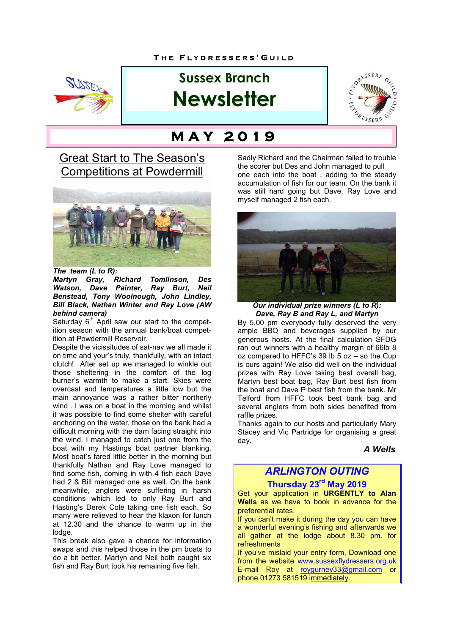

# **Sussex Branch Newsletter**



# **M A Y 2 0 1 9**

## **Great Start to The Season's** Competitions at Powdermill



*The team (L to R):* 

*Martyn Gray, Richard Tomlinson, Des Watson, Dave Painter, Ray Burt, Neil Benstead, Tony Woolnough, John Lindley, Bill Black, Nathan Winter and Ray Love (AW behind camera)*

Saturday 6<sup>th</sup> April saw our start to the competition season with the annual bank/boat competition at Powdermill Reservoir.

Despite the vicissitudes of sat-nav we all made it on time and your's truly, thankfully, with an intact clutch! After set up we managed to winkle out those sheltering in the comfort of the log burner's warmth to make a start. Skies were overcast and temperatures a little low but the main annoyance was a rather bitter northerly wind . I was on a boat in the morning and whilst it was possible to find some shelter with careful anchoring on the water, those on the bank had a difficult morning with the dam facing straight into the wind. I managed to catch just one from the boat with my Hastings boat partner blanking. Most boat's fared little better in the morning but thankfully Nathan and Ray Love managed to find some fish, coming in with 4 fish each Dave had 2 & Bill managed one as well. On the bank meanwhile, anglers were suffering in harsh conditions which led to only Ray Burt and Hasting's Derek Cole taking one fish each. So many were relieved to hear the klaxon for lunch at 12.30 and the chance to warm up in the lodge.

This break also gave a chance for information swaps and this helped those in the pm boats to do a bit better. Martyn and Neil both caught six fish and Ray Burt took his remaining five fish.

Sadly Richard and the Chairman failed to trouble the scorer but Des and John managed to pull one each into the boat , adding to the steady accumulation of fish for our team. On the bank it was still hard going but Dave, Ray Love and myself managed 2 fish each.



*Our individual prize winners (L to R): Dave, Ray B and Ray L, and Martyn*

By 5.00 pm everybody fully deserved the very ample BBQ and beverages supplied by our generous hosts. At the final calculation SFDG ran out winners with a healthy margin of 66lb 8 oz compared to HFFC's 39 lb 5 oz – so the Cup is ours again! We also did well on the individual prizes with Ray Love taking best overall bag, Martyn best boat bag, Ray Burt best fish from the boat and Dave P best fish from the bank. Mr Telford from HFFC took best bank bag and several anglers from both sides benefited from raffle prizes.

Thanks again to our hosts and particularly Mary Stacey and Vic Partridge for organising a great day.

*A Wells*

## *ARLINGTON OUTING*

## **Thursday 23rd May 2019**

Get your application in **URGENTLY to Alan Wells** as we have to book in advance for the preferential rates.

If you can't make it during the day you can have a wonderful evening's fishing and afterwards we all gather at the lodge about 8.30 pm. for refreshments

If you've mislaid your entry form, Download one from the website www.sussexflydressers.org.uk E-mail Roy at roygurney33@gmail.com or phone 01273 581519 immediately.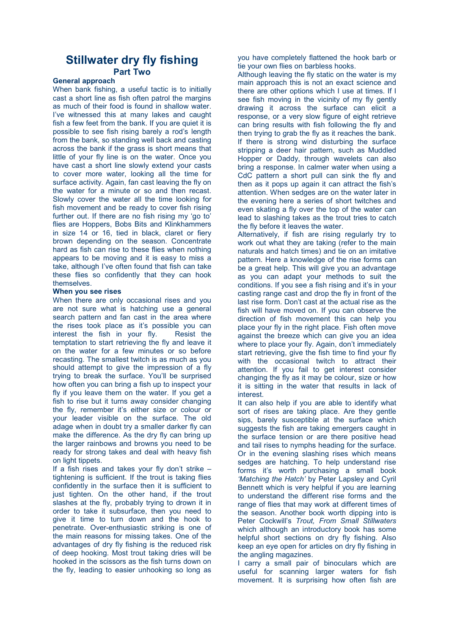## **Stillwater dry fly fishing Part Two**

#### **General approach**

When bank fishing, a useful tactic is to initially cast a short line as fish often patrol the margins as much of their food is found in shallow water. I've witnessed this at many lakes and caught fish a few feet from the bank. If you are quiet it is possible to see fish rising barely a rod's length from the bank, so standing well back and casting across the bank if the grass is short means that little of your fly line is on the water. Once you have cast a short line slowly extend your casts to cover more water, looking all the time for surface activity. Again, fan cast leaving the fly on the water for a minute or so and then recast. Slowly cover the water all the time looking for fish movement and be ready to cover fish rising further out. If there are no fish rising my 'go to' flies are Hoppers, Bobs Bits and Klinkhammers in size 14 or 16, tied in black, claret or fiery brown depending on the season. Concentrate hard as fish can rise to these flies when nothing appears to be moving and it is easy to miss a take, although I've often found that fish can take these flies so confidently that they can hook themselves.

#### **When you see rises**

When there are only occasional rises and you are not sure what is hatching use a general search pattern and fan cast in the area where the rises took place as it's possible you can interest the fish in your fly. Resist the temptation to start retrieving the fly and leave it on the water for a few minutes or so before recasting. The smallest twitch is as much as you should attempt to give the impression of a fly trying to break the surface. You'll be surprised how often you can bring a fish up to inspect your fly if you leave them on the water. If you get a fish to rise but it turns away consider changing the fly, remember it's either size or colour or your leader visible on the surface. The old adage when in doubt try a smaller darker fly can make the difference. As the dry fly can bring up the larger rainbows and browns you need to be ready for strong takes and deal with heavy fish on light tippets.

If a fish rises and takes your fly don't strike – tightening is sufficient. If the trout is taking flies confidently in the surface then it is sufficient to just tighten. On the other hand, if the trout slashes at the fly, probably trying to drown it in order to take it subsurface, then you need to give it time to turn down and the hook to penetrate. Over-enthusiastic striking is one of the main reasons for missing takes. One of the advantages of dry fly fishing is the reduced risk of deep hooking. Most trout taking dries will be hooked in the scissors as the fish turns down on the fly, leading to easier unhooking so long as you have completely flattened the hook barb or tie your own flies on barbless hooks.

Although leaving the fly static on the water is my main approach this is not an exact science and there are other options which I use at times. If I see fish moving in the vicinity of my fly gently drawing it across the surface can elicit a response, or a very slow figure of eight retrieve can bring results with fish following the fly and then trying to grab the fly as it reaches the bank. If there is strong wind disturbing the surface stripping a deer hair pattern, such as Muddled Hopper or Daddy, through wavelets can also bring a response. In calmer water when using a CdC pattern a short pull can sink the fly and then as it pops up again it can attract the fish's attention. When sedges are on the water later in the evening here a series of short twitches and even skating a fly over the top of the water can lead to slashing takes as the trout tries to catch the fly before it leaves the water.

Alternatively, if fish are rising regularly try to work out what they are taking (refer to the main naturals and hatch times) and tie on an imitative pattern. Here a knowledge of the rise forms can be a great help. This will give you an advantage as you can adapt your methods to suit the conditions. If you see a fish rising and it's in your casting range cast and drop the fly in front of the last rise form. Don't cast at the actual rise as the fish will have moved on. If you can observe the direction of fish movement this can help you place your fly in the right place. Fish often move against the breeze which can give you an idea where to place your fly. Again, don't immediately start retrieving, give the fish time to find your fly with the occasional twitch to attract their attention. If you fail to get interest consider changing the fly as it may be colour, size or how it is sitting in the water that results in lack of interest.

It can also help if you are able to identify what sort of rises are taking place. Are they gentle sips, barely susceptible at the surface which suggests the fish are taking emergers caught in the surface tension or are there positive head and tail rises to nymphs heading for the surface. Or in the evening slashing rises which means sedges are hatching. To help understand rise forms it's worth purchasing a small book *'Matching the Hatch'* by Peter Lapsley and Cyril Bennett which is very helpful if you are learning to understand the different rise forms and the range of flies that may work at different times of the season. Another book worth dipping into is Peter Cockwill's *Trout, From Small Stillwaters* which although an introductory book has some helpful short sections on dry fly fishing. Also keep an eye open for articles on dry fly fishing in the angling magazines.

I carry a small pair of binoculars which are useful for scanning larger waters for fish movement. It is surprising how often fish are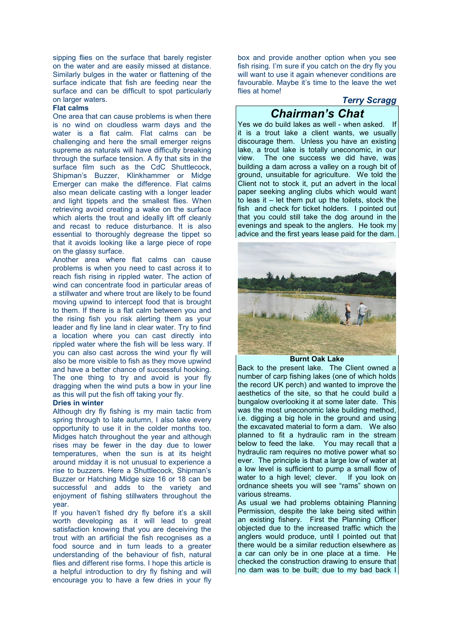sipping flies on the surface that barely register on the water and are easily missed at distance. Similarly bulges in the water or flattening of the surface indicate that fish are feeding near the surface and can be difficult to spot particularly on larger waters.

#### **Flat calms**

One area that can cause problems is when there is no wind on cloudless warm days and the water is a flat calm. Flat calms can be challenging and here the small emerger reigns supreme as naturals will have difficulty breaking through the surface tension. A fly that sits in the surface film such as the CdC Shuttlecock, Shipman's Buzzer, Klinkhammer or Midge Emerger can make the difference. Flat calms also mean delicate casting with a longer leader and light tippets and the smallest flies. When retrieving avoid creating a wake on the surface which alerts the trout and ideally lift off cleanly and recast to reduce disturbance. It is also essential to thoroughly degrease the tippet so that it avoids looking like a large piece of rope on the glassy surface.

Another area where flat calms can cause problems is when you need to cast across it to reach fish rising in rippled water. The action of wind can concentrate food in particular areas of a stillwater and where trout are likely to be found moving upwind to intercept food that is brought to them. If there is a flat calm between you and the rising fish you risk alerting them as your leader and fly line land in clear water. Try to find a location where you can cast directly into rippled water where the fish will be less wary. If you can also cast across the wind your fly will also be more visible to fish as they move upwind and have a better chance of successful hooking. The one thing to try and avoid is your fly dragging when the wind puts a bow in your line as this will put the fish off taking your fly.

#### **Dries in winter**

Although dry fly fishing is my main tactic from spring through to late autumn, I also take every opportunity to use it in the colder months too. Midges hatch throughout the year and although rises may be fewer in the day due to lower temperatures, when the sun is at its height around midday it is not unusual to experience a rise to buzzers. Here a Shuttlecock, Shipman's Buzzer or Hatching Midge size 16 or 18 can be successful and adds to the variety and enjoyment of fishing stillwaters throughout the year.

If you haven't fished dry fly before it's a skill worth developing as it will lead to great satisfaction knowing that you are deceiving the trout with an artificial the fish recognises as a food source and in turn leads to a greater understanding of the behaviour of fish, natural flies and different rise forms. I hope this article is a helpful introduction to dry fly fishing and will encourage you to have a few dries in your fly

box and provide another option when you see fish rising. I'm sure if you catch on the dry fly you will want to use it again whenever conditions are favourable. Maybe it's time to the leave the wet flies at home!

#### *Terry Scragg*

## *Chairman's Chat*

Yes we do build lakes as well - when asked. If it is a trout lake a client wants, we usually discourage them. Unless you have an existing lake, a trout lake is totally uneconomic, in our view. The one success we did have, was building a dam across a valley on a rough bit of ground, unsuitable for agriculture. We told the Client not to stock it, put an advert in the local paper seeking angling clubs which would want to leas it – let them put up the toilets, stock the fish and check for ticket holders. I pointed out that you could still take the dog around in the evenings and speak to the anglers. He took my advice and the first years lease paid for the dam.



#### **Burnt Oak Lake**

Back to the present lake. The Client owned a number of carp fishing lakes (one of which holds the record UK perch) and wanted to improve the aesthetics of the site, so that he could build a bungalow overlooking it at some later date. This was the most uneconomic lake building method, i.e. digging a big hole in the ground and using the excavated material to form a dam. We also planned to fit a hydraulic ram in the stream below to feed the lake. You may recall that a hydraulic ram requires no motive power what so ever. The principle is that a large low of water at a low level is sufficient to pump a small flow of water to a high level; clever. If you look on ordnance sheets you will see "rams" shown on various streams.

As usual we had problems obtaining Planning Permission, despite the lake being sited within an existing fishery. First the Planning Officer objected due to the increased traffic which the anglers would produce, until I pointed out that there would be a similar reduction elsewhere as a car can only be in one place at a time. He checked the construction drawing to ensure that no dam was to be built; due to my bad back I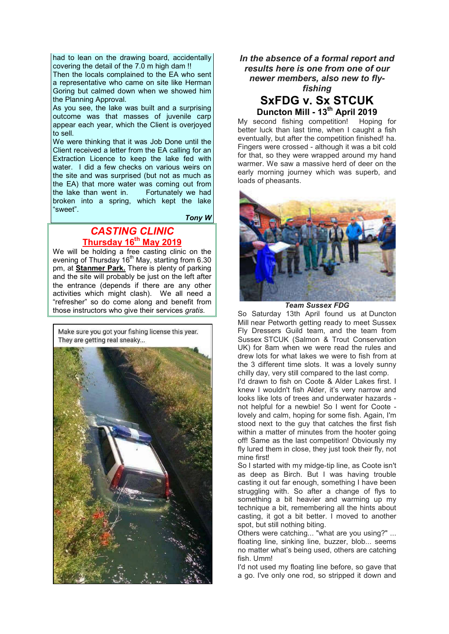had to lean on the drawing board, accidentally covering the detail of the 7.0 m high dam !!

Then the locals complained to the EA who sent a representative who came on site like Herman Goring but calmed down when we showed him the Planning Approval.

As you see, the lake was built and a surprising outcome was that masses of juvenile carp appear each year, which the Client is overjoyed to sell.

We were thinking that it was Job Done until the Client received a letter from the EA calling for an Extraction Licence to keep the lake fed with water. I did a few checks on various weirs on the site and was surprised (but not as much as the EA) that more water was coming out from the lake than went in. Fortunately we had broken into a spring, which kept the lake "sweet".

 *Tony W*

## *CASTING CLINIC* **Thursday 16th May 2019**

We will be holding a free casting clinic on the evening of Thursday  $16<sup>th</sup>$  May, starting from 6.30 pm, at **Stanmer Park.** There is plenty of parking and the site will probably be just on the left after the entrance (depends if there are any other activities which might clash). We all need a "refresher" so do come along and benefit from those instructors who give their services *gratis.*

Make sure you got your fishing license this year. They are getting real sneaky...



*In the absence of a formal report and results here is one from one of our newer members, also new to flyfishing* **SxFDG v. Sx STCUK** 

**Duncton Mill - 13th April 2019**

My second fishing competition! Hoping for better luck than last time, when I caught a fish eventually, but after the competition finished! ha. Fingers were crossed - although it was a bit cold for that, so they were wrapped around my hand warmer. We saw a massive herd of deer on the early morning journey which was superb, and loads of pheasants.



*Team Sussex FDG*

So Saturday 13th April found us at Duncton Mill near Petworth getting ready to meet Sussex Fly Dressers Guild team, and the team from Sussex STCUK (Salmon & Trout Conservation UK) for 8am when we were read the rules and drew lots for what lakes we were to fish from at the 3 different time slots. It was a lovely sunny chilly day, very still compared to the last comp.

I'd drawn to fish on Coote & Alder Lakes first. I knew I wouldn't fish Alder, it's very narrow and looks like lots of trees and underwater hazards not helpful for a newbie! So I went for Coote lovely and calm, hoping for some fish. Again, I'm stood next to the guy that catches the first fish within a matter of minutes from the hooter going off! Same as the last competition! Obviously my fly lured them in close, they just took their fly, not mine first!

So I started with my midge-tip line, as Coote isn't as deep as Birch. But I was having trouble casting it out far enough, something I have been struggling with. So after a change of flys to something a bit heavier and warming up my technique a bit, remembering all the hints about casting, it got a bit better. I moved to another spot, but still nothing biting.

Others were catching... "what are you using?" ... floating line, sinking line, buzzer, blob... seems no matter what's being used, others are catching fish. Umm!

I'd not used my floating line before, so gave that a go. I've only one rod, so stripped it down and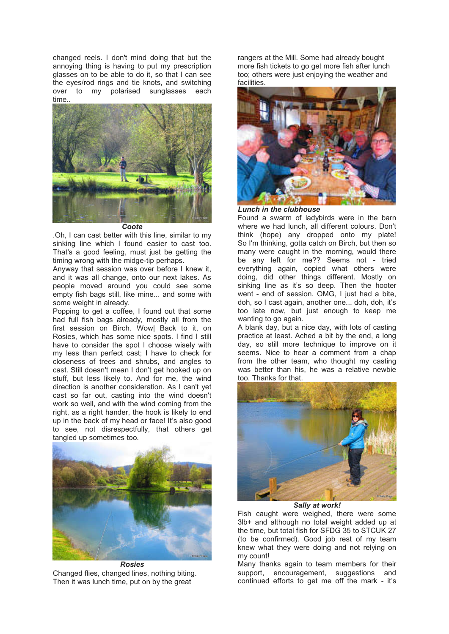changed reels. I don't mind doing that but the annoying thing is having to put my prescription glasses on to be able to do it, so that I can see the eyes/rod rings and tie knots, and switching over to my polarised sunglasses each time..



*Coote*

.Oh, I can cast better with this line, similar to my sinking line which I found easier to cast too. That's a good feeling, must just be getting the timing wrong with the midge-tip perhaps.

Anyway that session was over before I knew it, and it was all change, onto our next lakes. As people moved around you could see some empty fish bags still, like mine... and some with some weight in already.

Popping to get a coffee, I found out that some had full fish bags already, mostly all from the first session on Birch. Wow| Back to it, on Rosies, which has some nice spots. I find I still have to consider the spot I choose wisely with my less than perfect cast; I have to check for closeness of trees and shrubs, and angles to cast. Still doesn't mean I don't get hooked up on stuff, but less likely to. And for me, the wind direction is another consideration. As I can't yet cast so far out, casting into the wind doesn't work so well, and with the wind coming from the right, as a right hander, the hook is likely to end up in the back of my head or face! It's also good to see, not disrespectfully, that others get tangled up sometimes too.



*Rosies* Changed flies, changed lines, nothing biting. Then it was lunch time, put on by the great

rangers at the Mill. Some had already bought more fish tickets to go get more fish after lunch too; others were just enjoying the weather and facilities.



*Lunch in the clubhouse*

Found a swarm of ladybirds were in the barn where we had lunch, all different colours. Don't think (hope) any dropped onto my plate! So I'm thinking, gotta catch on Birch, but then so many were caught in the morning, would there be any left for me?? Seems not - tried everything again, copied what others were doing, did other things different. Mostly on sinking line as it's so deep. Then the hooter went - end of session. OMG, I just had a bite. doh, so I cast again, another one... doh, doh, it's too late now, but just enough to keep me wanting to go again.

A blank day, but a nice day, with lots of casting practice at least. Ached a bit by the end, a long day, so still more technique to improve on it seems. Nice to hear a comment from a chap from the other team, who thought my casting was better than his, he was a relative newbie too. Thanks for that.



*Sally at work!*

Fish caught were weighed, there were some 3lb+ and although no total weight added up at the time, but total fish for SFDG 35 to STCUK 27 (to be confirmed). Good job rest of my team knew what they were doing and not relying on my count!

Many thanks again to team members for their support, encouragement, suggestions and continued efforts to get me off the mark - it's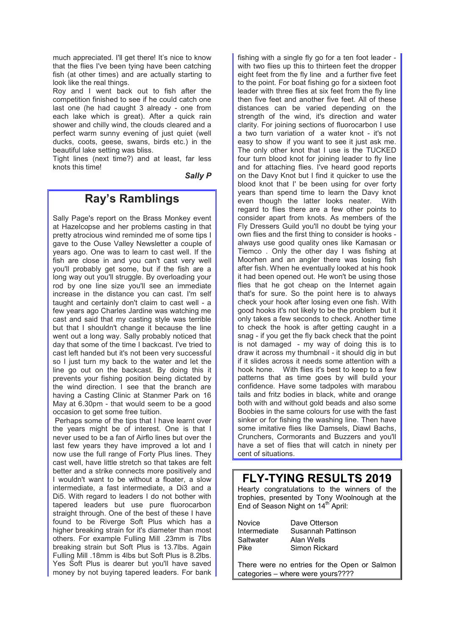much appreciated. I'll get there! It's nice to know that the flies I've been tying have been catching fish (at other times) and are actually starting to look like the real things.

Roy and I went back out to fish after the competition finished to see if he could catch one last one (he had caught 3 already - one from each lake which is great). After a quick rain shower and chilly wind, the clouds cleared and a perfect warm sunny evening of just quiet (well ducks, coots, geese, swans, birds etc.) in the beautiful lake setting was bliss.

Tight lines (next time?) and at least, far less knots this time!

*Sally P*

## **Ray's Ramblings**

Sally Page's report on the Brass Monkey event at Hazelcopse and her problems casting in that pretty atrocious wind reminded me of some tips I gave to the Ouse Valley Newsletter a couple of years ago. One was to learn to cast well. If the fish are close in and you can't cast very well you'll probably get some, but if the fish are a long way out you'll struggle. By overloading your rod by one line size you'll see an immediate increase in the distance you can cast. I'm self taught and certainly don't claim to cast well - a few years ago Charles Jardine was watching me cast and said that my casting style was terrible but that I shouldn't change it because the line went out a long way. Sally probably noticed that day that some of the time I backcast. I've tried to cast left handed but it's not been very successful so I just turn my back to the water and let the line go out on the backcast. By doing this it prevents your fishing position being dictated by the wind direction. I see that the branch are having a Casting Clinic at Stanmer Park on 16 May at 6.30pm - that would seem to be a good occasion to get some free tuition.

Perhaps some of the tips that I have learnt over the years might be of interest. One is that I never used to be a fan of Airflo lines but over the last few years they have improved a lot and I now use the full range of Forty Plus lines. They cast well, have little stretch so that takes are felt better and a strike connects more positively and I wouldn't want to be without a floater, a slow intermediate, a fast intermediate, a Di3 and a Di5. With regard to leaders I do not bother with tapered leaders but use pure fluorocarbon straight through. One of the best of these I have found to be Riverge Soft Plus which has a higher breaking strain for it's diameter than most others. For example Fulling Mill .23mm is 7lbs breaking strain but Soft Plus is 13.7lbs. Again Fulling Mill .18mm is 4lbs but Soft Plus is 8.2lbs. Yes Soft Plus is dearer but you'll have saved money by not buying tapered leaders. For bank

fishing with a single fly go for a ten foot leader with two flies up this to thirteen feet the dropper eight feet from the fly line and a further five feet to the point. For boat fishing go for a sixteen foot leader with three flies at six feet from the fly line then five feet and another five feet. All of these distances can be varied depending on the strength of the wind, it's direction and water clarity. For joining sections of fluorocarbon I use a two turn variation of a water knot - it's not easy to show if you want to see it just ask me. The only other knot that I use is the TUCKED four turn blood knot for joining leader to fly line and for attaching flies. I've heard good reports on the Davy Knot but I find it quicker to use the blood knot that I' be been using for over forty years than spend time to learn the Davy knot even though the latter looks neater. With regard to flies there are a few other points to consider apart from knots. As members of the Fly Dressers Guild you'll no doubt be tying your own flies and the first thing to consider is hooks always use good quality ones like Kamasan or Tiemco . Only the other day I was fishing at Moorhen and an angler there was losing fish after fish. When he eventually looked at his hook it had been opened out. He won't be using those flies that he got cheap on the Internet again that's for sure. So the point here is to always check your hook after losing even one fish. With good hooks it's not likely to be the problem but it only takes a few seconds to check. Another time to check the hook is after getting caught in a snag - if you get the fly back check that the point is not damaged - my way of doing this is to draw it across my thumbnail - it should dig in but if it slides across it needs some attention with a hook hone. With flies it's best to keep to a few patterns that as time goes by will build your confidence. Have some tadpoles with marabou tails and fritz bodies in black, white and orange both with and without gold beads and also some Boobies in the same colours for use with the fast sinker or for fishing the washing line. Then have some imitative flies like Damsels, Diawl Bachs, Crunchers, Cormorants and Buzzers and you'll have a set of flies that will catch in ninety per cent of situations.

## **FLY-TYING RESULTS 2019**

Hearty congratulations to the winners of the trophies, presented by Tony Woolnough at the End of Season Night on 14<sup>th</sup> April:

| Novice       |
|--------------|
| Intermediate |
| Saltwater    |
| Pike         |

Dave Otterson Susannah Pattinson Alan Wells Simon Rickard

There were no entries for the Open or Salmon categories – where were yours????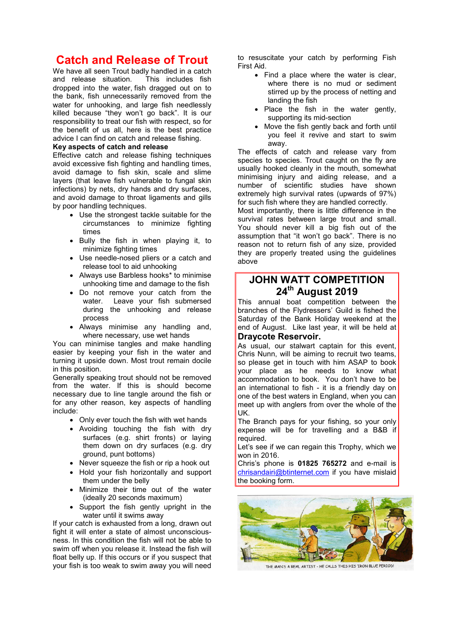## **Catch and Release of Trout**

We have all seen Trout badly handled in a catch<br>and release situation. This includes fish and release situation. dropped into the water, fish dragged out on to the bank, fish unnecessarily removed from the water for unhooking, and large fish needlessly killed because "they won't go back". It is our responsibility to treat our fish with respect, so for the benefit of us all, here is the best practice advice I can find on catch and release fishing.

#### **Key aspects of catch and release**

Effective catch and release fishing techniques avoid excessive fish fighting and handling times, avoid damage to fish skin, scale and slime layers (that leave fish vulnerable to fungal skin infections) by nets, dry hands and dry surfaces, and avoid damage to throat ligaments and gills by poor handling techniques.

- Use the strongest tackle suitable for the circumstances to minimize fighting times
- Bully the fish in when playing it, to minimize fighting times
- Use needle-nosed pliers or a catch and release tool to aid unhooking
- Always use Barbless hooks\* to minimise unhooking time and damage to the fish
- Do not remove your catch from the water. Leave your fish submersed Leave your fish submersed during the unhooking and release process
- Always minimise any handling and, where necessary, use wet hands

You can minimise tangles and make handling easier by keeping your fish in the water and turning it upside down. Most trout remain docile in this position.

Generally speaking trout should not be removed from the water. If this is should become necessary due to line tangle around the fish or for any other reason, key aspects of handling include:

- Only ever touch the fish with wet hands
- Avoiding touching the fish with dry surfaces (e.g. shirt fronts) or laying them down on dry surfaces (e.g. dry ground, punt bottoms)
- Never squeeze the fish or rip a hook out
- Hold your fish horizontally and support them under the belly
- Minimize their time out of the water (ideally 20 seconds maximum)
- Support the fish gently upright in the water until it swims away

If your catch is exhausted from a long, drawn out fight it will enter a state of almost unconsciousness. In this condition the fish will not be able to swim off when you release it. Instead the fish will float belly up. If this occurs or if you suspect that your fish is too weak to swim away you will need

to resuscitate your catch by performing Fish First Aid.

- Find a place where the water is clear. where there is no mud or sediment stirred up by the process of netting and landing the fish
- Place the fish in the water gently, supporting its mid-section
- Move the fish gently back and forth until you feel it revive and start to swim away.

The effects of catch and release vary from species to species. Trout caught on the fly are usually hooked cleanly in the mouth, somewhat minimising injury and aiding release, and a number of scientific studies have shown extremely high survival rates (upwards of 97%) for such fish where they are handled correctly.

Most importantly, there is little difference in the survival rates between large trout and small. You should never kill a big fish out of the assumption that "it won't go back". There is no reason not to return fish of any size, provided they are properly treated using the guidelines above

## **JOHN WATT COMPETITION 24th August 2019**

This annual boat competition between the branches of the Flydressers' Guild is fished the Saturday of the Bank Holiday weekend at the end of August. Like last year, it will be held at **Draycote Reservoir.**

As usual, our stalwart captain for this event, Chris Nunn, will be aiming to recruit two teams, so please get in touch with him ASAP to book your place as he needs to know what accommodation to book. You don't have to be an international to fish - it is a friendly day on one of the best waters in England, when you can meet up with anglers from over the whole of the UK.

The Branch pays for your fishing, so your only expense will be for travelling and a B&B if required.

Let's see if we can regain this Trophy, which we won in 2016.

Chris's phone is **01825 765272** and e-mail is chrisandairi@btinternet.com if you have mislaid the booking form.



THE MANS A REAL ARTIST - HE CALLS THIS HIS 'IRON BLUE PERIOD